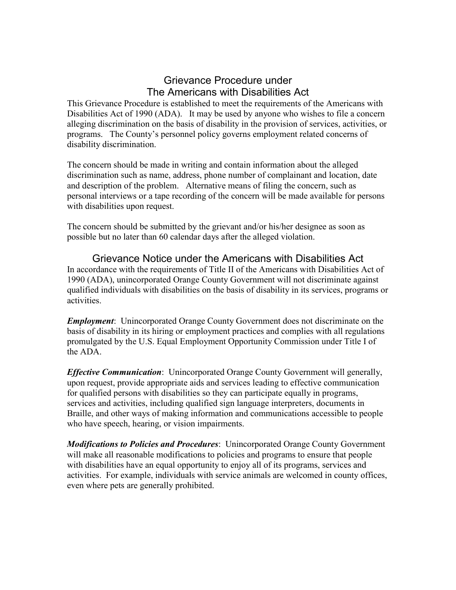## Grievance Procedure under The Americans with Disabilities Act

This Grievance Procedure is established to meet the requirements of the Americans with Disabilities Act of 1990 (ADA). It may be used by anyone who wishes to file a concern alleging discrimination on the basis of disability in the provision of services, activities, or programs. The County's personnel policy governs employment related concerns of disability discrimination.

The concern should be made in writing and contain information about the alleged discrimination such as name, address, phone number of complainant and location, date and description of the problem. Alternative means of filing the concern, such as personal interviews or a tape recording of the concern will be made available for persons with disabilities upon request.

The concern should be submitted by the grievant and/or his/her designee as soon as possible but no later than 60 calendar days after the alleged violation.

Grievance Notice under the Americans with Disabilities Act In accordance with the requirements of Title II of the Americans with Disabilities Act of 1990 (ADA), unincorporated Orange County Government will not discriminate against qualified individuals with disabilities on the basis of disability in its services, programs or activities.

*Employment*: Unincorporated Orange County Government does not discriminate on the basis of disability in its hiring or employment practices and complies with all regulations promulgated by the U.S. Equal Employment Opportunity Commission under Title I of the ADA.

*Effective Communication*: Unincorporated Orange County Government will generally, upon request, provide appropriate aids and services leading to effective communication for qualified persons with disabilities so they can participate equally in programs, services and activities, including qualified sign language interpreters, documents in Braille, and other ways of making information and communications accessible to people who have speech, hearing, or vision impairments.

*Modifications to Policies and Procedures*: Unincorporated Orange County Government will make all reasonable modifications to policies and programs to ensure that people with disabilities have an equal opportunity to enjoy all of its programs, services and activities. For example, individuals with service animals are welcomed in county offices, even where pets are generally prohibited.